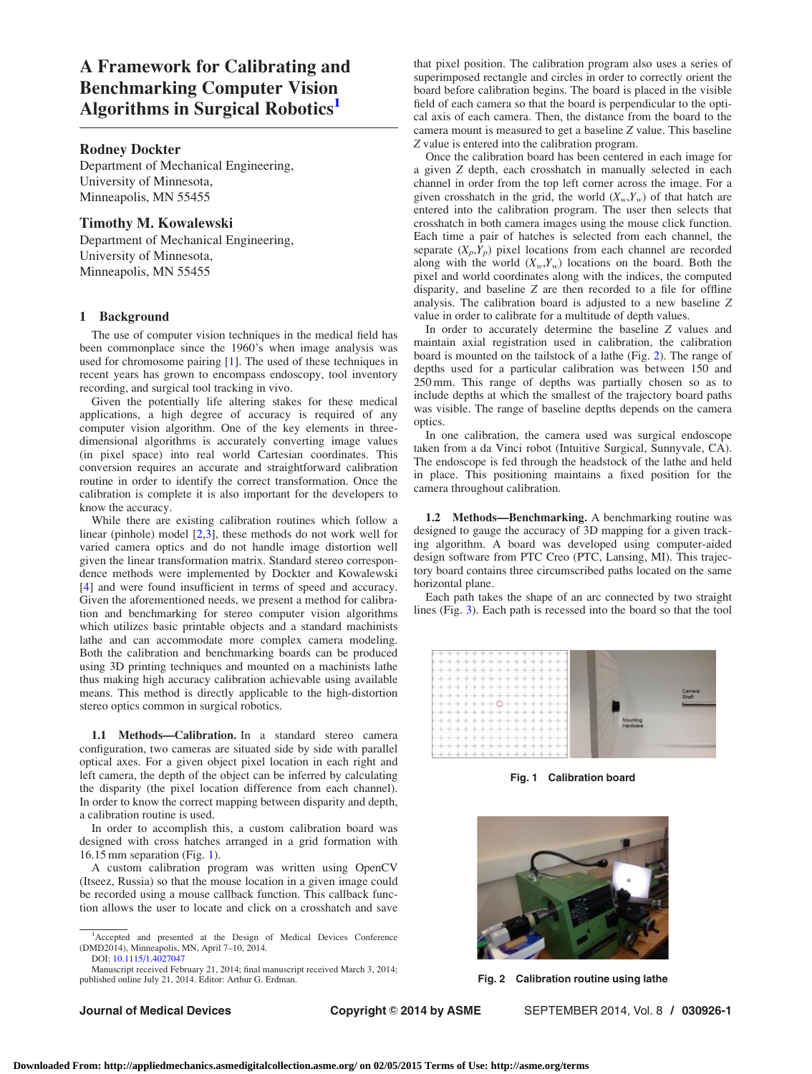A Framework for Calibrating and Benchmarking Computer Vision Algorithms in Surgical Robotics<sup>1</sup>

# Rodney Dockter

Department of Mechanical Engineering, University of Minnesota, Minneapolis, MN 55455

## Timothy M. Kowalewski

Department of Mechanical Engineering, University of Minnesota, Minneapolis, MN 55455

### 1 Background

The use of computer vision techniques in the medical field has been commonplace since the 1960's when image analysis was used for chromosome pairing [\[1\]](#page-1-0). The used of these techniques in recent years has grown to encompass endoscopy, tool inventory recording, and surgical tool tracking in vivo.

Given the potentially life altering stakes for these medical applications, a high degree of accuracy is required of any computer vision algorithm. One of the key elements in threedimensional algorithms is accurately converting image values (in pixel space) into real world Cartesian coordinates. This conversion requires an accurate and straightforward calibration routine in order to identify the correct transformation. Once the calibration is complete it is also important for the developers to know the accuracy.

While there are existing calibration routines which follow a linear (pinhole) model [\[2,3\]](#page-1-0), these methods do not work well for varied camera optics and do not handle image distortion well given the linear transformation matrix. Standard stereo correspondence methods were implemented by Dockter and Kowalewski [[4\]](#page-1-0) and were found insufficient in terms of speed and accuracy. Given the aforementioned needs, we present a method for calibration and benchmarking for stereo computer vision algorithms which utilizes basic printable objects and a standard machinists lathe and can accommodate more complex camera modeling. Both the calibration and benchmarking boards can be produced using 3D printing techniques and mounted on a machinists lathe thus making high accuracy calibration achievable using available means. This method is directly applicable to the high-distortion stereo optics common in surgical robotics.

1.1 Methods—Calibration. In a standard stereo camera configuration, two cameras are situated side by side with parallel optical axes. For a given object pixel location in each right and left camera, the depth of the object can be inferred by calculating the disparity (the pixel location difference from each channel). In order to know the correct mapping between disparity and depth, a calibration routine is used.

In order to accomplish this, a custom calibration board was designed with cross hatches arranged in a grid formation with 16.15 mm separation (Fig. 1).

A custom calibration program was written using OpenCV (Itseez, Russia) so that the mouse location in a given image could be recorded using a mouse callback function. This callback function allows the user to locate and click on a crosshatch and save

Manuscript received February 21, 2014; final manuscript received March 3, 2014; published online July 21, 2014. Editor: Arthur G. Erdman.

Journal of Medical Devices **Copyright © 2014 by ASME** SEPTEMBER 2014, Vol. 8 / 030926-1

that pixel position. The calibration program also uses a series of superimposed rectangle and circles in order to correctly orient the board before calibration begins. The board is placed in the visible field of each camera so that the board is perpendicular to the optical axis of each camera. Then, the distance from the board to the camera mount is measured to get a baseline Z value. This baseline Z value is entered into the calibration program.

Once the calibration board has been centered in each image for a given Z depth, each crosshatch in manually selected in each channel in order from the top left corner across the image. For a given crosshatch in the grid, the world  $(X_w, Y_w)$  of that hatch are entered into the calibration program. The user then selects that crosshatch in both camera images using the mouse click function. Each time a pair of hatches is selected from each channel, the separate  $(X_p, Y_p)$  pixel locations from each channel are recorded along with the world  $(X_w, Y_w)$  locations on the board. Both the pixel and world coordinates along with the indices, the computed disparity, and baseline Z are then recorded to a file for offline analysis. The calibration board is adjusted to a new baseline Z value in order to calibrate for a multitude of depth values.

In order to accurately determine the baseline Z values and maintain axial registration used in calibration, the calibration board is mounted on the tailstock of a lathe (Fig. 2). The range of depths used for a particular calibration was between 150 and 250 mm. This range of depths was partially chosen so as to include depths at which the smallest of the trajectory board paths was visible. The range of baseline depths depends on the camera optics.

In one calibration, the camera used was surgical endoscope taken from a da Vinci robot (Intuitive Surgical, Sunnyvale, CA). The endoscope is fed through the headstock of the lathe and held in place. This positioning maintains a fixed position for the camera throughout calibration.

1.2 Methods—Benchmarking. A benchmarking routine was designed to gauge the accuracy of 3D mapping for a given tracking algorithm. A board was developed using computer-aided design software from PTC Creo (PTC, Lansing, MI). This trajectory board contains three circumscribed paths located on the same horizontal plane.

Each path takes the shape of an arc connected by two straight lines (Fig. [3\)](#page-1-0). Each path is recessed into the board so that the tool



Fig. 1 Calibration board



Fig. 2 Calibration routine using lathe

<sup>1</sup> Accepted and presented at the Design of Medical Devices Conference (DMD2014), Minneapolis, MN, April 7–10, 2014. DOI: [10.1115/1.4027047](http://dx.doi.org/10.1115/1.4027047)